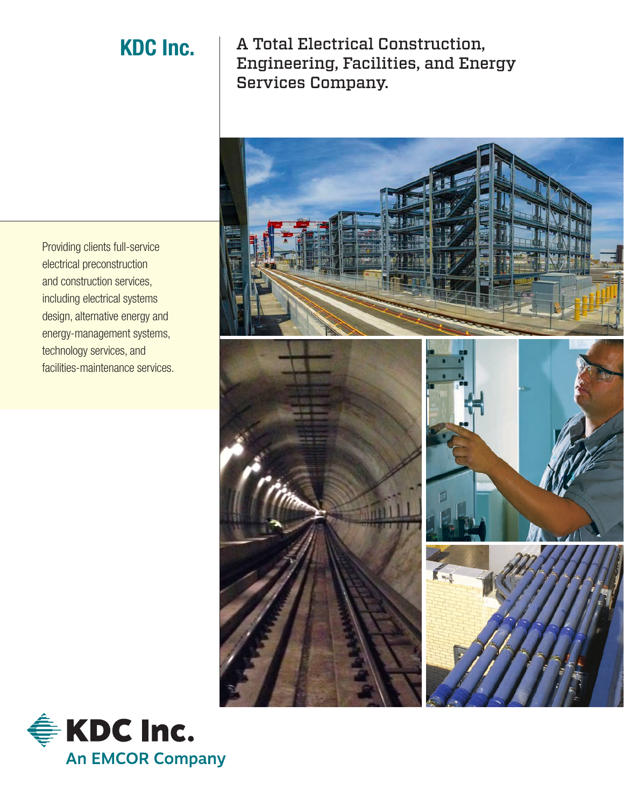KDC Inc. | A Total Electrical Construction, Engineering, Facilities, and Energy Services Company.



Providing clients full-service electrical preconstruction and construction services, including electrical systems design, alternative energy and energy-management systems, technology services, and facilities-maintenance services.

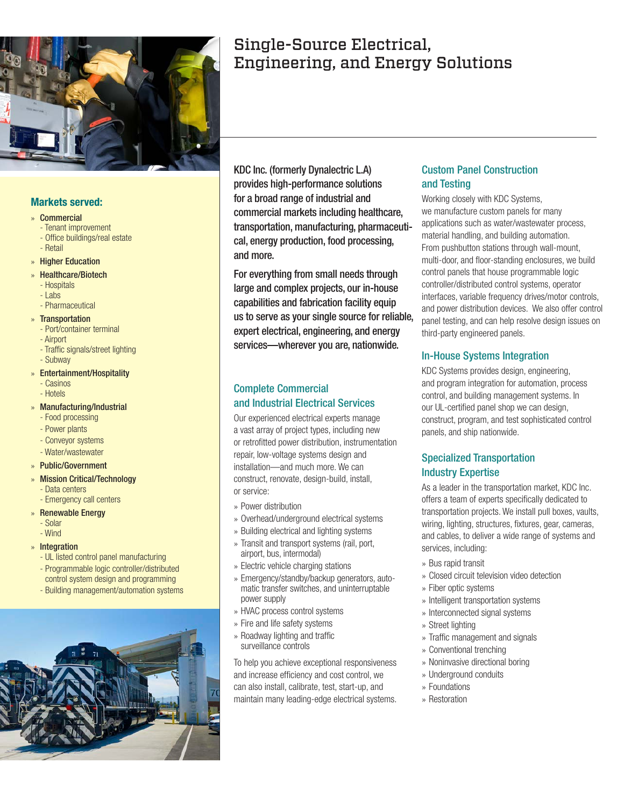

#### **Markets served:**

#### » Commercial

- Tenant improvement
- Office buildings/real estate - Retail
- » Higher Education
- » Healthcare/Biotech
- Hospitals
- Labs
- Pharmaceutical
- » Transportation
	- Port/container terminal
	- Airport
	- Traffic signals/street lighting
	- Subway
- » Entertainment/Hospitality
	- Casinos
	- Hotels
- » Manufacturing/Industrial
	- Food processing
	- Power plants
	- Conveyor systems - Water/wastewater
- » Public/Government
- » Mission Critical/Technology
	- Data centers
	- Emergency call centers
- » Renewable Energy
	- Solar
	- Wind
- » Integration
	- UL listed control panel manufacturing
	- Programmable logic controller/distributed control system design and programming
	- Building management/automation systems



# Single-Source Electrical, Engineering, and Energy Solutions

KDC Inc. (formerly Dynalectric L.A) provides high-performance solutions for a broad range of industrial and commercial markets including healthcare, transportation, manufacturing, pharmaceutical, energy production, food processing, and more.

For everything from small needs through large and complex projects, our in-house capabilities and fabrication facility equip us to serve as your single source for reliable, expert electrical, engineering, and energy services—wherever you are, nationwide.

#### Complete Commercial and Industrial Electrical Services

Our experienced electrical experts manage a vast array of project types, including new or retrofitted power distribution, instrumentation repair, low-voltage systems design and installation—and much more. We can construct, renovate, design-build, install, or service:

- » Power distribution
- » Overhead/underground electrical systems
- » Building electrical and lighting systems
- » Transit and transport systems (rail, port, airport, bus, intermodal)
- » Electric vehicle charging stations
- » Emergency/standby/backup generators, automatic transfer switches, and uninterruptable power supply
- » HVAC process control systems
- » Fire and life safety systems
- » Roadway lighting and traffic surveillance controls

To help you achieve exceptional responsiveness and increase efficiency and cost control, we can also install, calibrate, test, start-up, and maintain many leading-edge electrical systems.

### Custom Panel Construction and Testing

Working closely with KDC Systems, we manufacture custom panels for many applications such as water/wastewater process, material handling, and building automation. From pushbutton stations through wall-mount, multi-door, and floor-standing enclosures, we build control panels that house programmable logic controller/distributed control systems, operator interfaces, variable frequency drives/motor controls, and power distribution devices. We also offer control panel testing, and can help resolve design issues on third-party engineered panels.

#### In-House Systems Integration

KDC Systems provides design, engineering, and program integration for automation, process control, and building management systems. In our UL-certified panel shop we can design, construct, program, and test sophisticated control panels, and ship nationwide.

#### Specialized Transportation Industry Expertise

As a leader in the transportation market, KDC Inc. offers a team of experts specifically dedicated to transportation projects. We install pull boxes, vaults, wiring, lighting, structures, fixtures, gear, cameras, and cables, to deliver a wide range of systems and services, including:

- » Bus rapid transit
- » Closed circuit television video detection
- » Fiber optic systems
- » Intelligent transportation systems
- » Interconnected signal systems
- » Street lighting
- » Traffic management and signals
- » Conventional trenching
- » Noninvasive directional boring
- » Underground conduits
- » Foundations
- » Restoration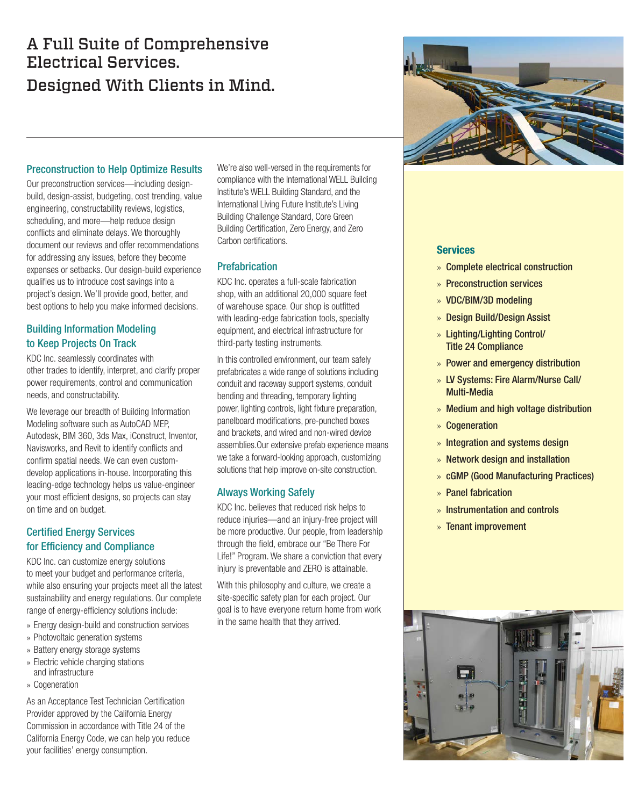# A Full Suite of Comprehensive Electrical Services. Designed With Clients in Mind.



#### Preconstruction to Help Optimize Results

Our preconstruction services—including designbuild, design-assist, budgeting, cost trending, value engineering, constructability reviews, logistics, scheduling, and more—help reduce design conflicts and eliminate delays. We thoroughly document our reviews and offer recommendations for addressing any issues, before they become expenses or setbacks. Our design-build experience qualifies us to introduce cost savings into a project's design. We'll provide good, better, and best options to help you make informed decisions.

### Building Information Modeling to Keep Projects On Track

KDC Inc. seamlessly coordinates with other trades to identify, interpret, and clarify proper power requirements, control and communication needs, and constructability.

We leverage our breadth of Building Information Modeling software such as AutoCAD MEP, Autodesk, BIM 360, 3ds Max, iConstruct, Inventor, Navisworks, and Revit to identify conflicts and confirm spatial needs. We can even customdevelop applications in-house. Incorporating this leading-edge technology helps us value-engineer your most efficient designs, so projects can stay on time and on budget.

#### Certified Energy Services for Efficiency and Compliance

KDC Inc. can customize energy solutions to meet your budget and performance criteria, while also ensuring your projects meet all the latest sustainability and energy regulations. Our complete range of energy-efficiency solutions include:

- » Energy design-build and construction services
- » Photovoltaic generation systems
- » Battery energy storage systems
- » Electric vehicle charging stations and infrastructure
- » Cogeneration

As an Acceptance Test Technician Certification Provider approved by the California Energy Commission in accordance with Title 24 of the California Energy Code, we can help you reduce your facilities' energy consumption.

We're also well-versed in the requirements for compliance with the International WELL Building Institute's WELL Building Standard, and the International Living Future Institute's Living Building Challenge Standard, Core Green Building Certification, Zero Energy, and Zero Carbon certifications.

#### **Prefabrication**

KDC Inc. operates a full-scale fabrication shop, with an additional 20,000 square feet of warehouse space. Our shop is outfitted with leading-edge fabrication tools, specialty equipment, and electrical infrastructure for third-party testing instruments.

In this controlled environment, our team safely prefabricates a wide range of solutions including conduit and raceway support systems, conduit bending and threading, temporary lighting power, lighting controls, light fixture preparation, panelboard modifications, pre-punched boxes and brackets, and wired and non-wired device assemblies.Our extensive prefab experience means we take a forward-looking approach, customizing solutions that help improve on-site construction.

#### Always Working Safely

KDC Inc. believes that reduced risk helps to reduce injuries—and an injury-free project will be more productive. Our people, from leadership through the field, embrace our "Be There For Life!" Program. We share a conviction that every injury is preventable and ZERO is attainable.

With this philosophy and culture, we create a site-specific safety plan for each project. Our goal is to have everyone return home from work in the same health that they arrived.

#### **Services**

- » Complete electrical construction
- » Preconstruction services
- » VDC/BIM/3D modeling
- » Design Build/Design Assist
- » Lighting/Lighting Control/ Title 24 Compliance
- » Power and emergency distribution
- » LV Systems: Fire Alarm/Nurse Call/ Multi-Media
- » Medium and high voltage distribution
- » Cogeneration
- » Integration and systems design
- » Network design and installation
- » cGMP (Good Manufacturing Practices)
- » Panel fabrication
- » Instrumentation and controls
- » Tenant improvement